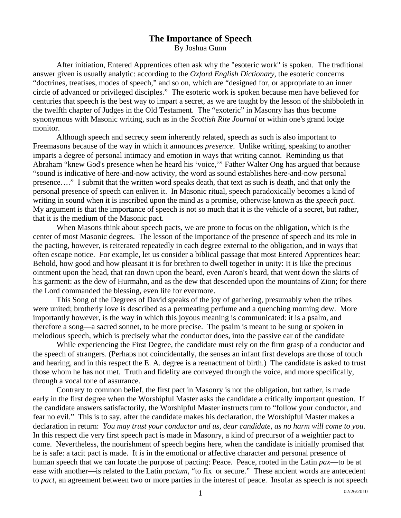## **The Importance of Speech**  By Joshua Gunn

 After initiation, Entered Apprentices often ask why the "esoteric work" is spoken. The traditional answer given is usually analytic: according to the *Oxford English Dictionary*, the esoteric concerns "doctrines, treatises, modes of speech," and so on, which are "designed for, or appropriate to an inner circle of advanced or privileged disciples." The esoteric work is spoken because men have believed for centuries that speech is the best way to impart a secret, as we are taught by the lesson of the shibboleth in the twelfth chapter of Judges in the Old Testament. The "exoteric" in Masonry has thus become synonymous with Masonic writing, such as in the *Scottish Rite Journal* or within one's grand lodge monitor.

 Although speech and secrecy seem inherently related, speech as such is also important to Freemasons because of the way in which it announces *presence*. Unlike writing, speaking to another imparts a degree of personal intimacy and emotion in ways that writing cannot. Reminding us that Abraham "knew God's presence when he heard his 'voice,'" Father Walter Ong has argued that because "sound is indicative of here-and-now activity, the word as sound establishes here-and-now personal presence…." I submit that the written word speaks death, that text as such is death, and that only the personal presence of speech can enliven it. In Masonic ritual, speech paradoxically becomes a kind of writing in sound when it is inscribed upon the mind as a promise, otherwise known as the *speech pact*. My argument is that the importance of speech is not so much that it is the vehicle of a secret, but rather, that it is the medium of the Masonic pact.

 When Masons think about speech pacts, we are prone to focus on the obligation, which is the center of most Masonic degrees. The lesson of the importance of the presence of speech and its role in the pacting, however, is reiterated repeatedly in each degree external to the obligation, and in ways that often escape notice. For example, let us consider a biblical passage that most Entered Apprentices hear: Behold, how good and how pleasant it is for brethren to dwell together in unity: It is like the precious ointment upon the head, that ran down upon the beard, even Aaron's beard, that went down the skirts of his garment: as the dew of Hurmahn, and as the dew that descended upon the mountains of Zion; for there the Lord commanded the blessing, even life for evermore.

 This Song of the Degrees of David speaks of the joy of gathering, presumably when the tribes were united; brotherly love is described as a permeating perfume and a quenching morning dew. More importantly however, is the way in which this joyous meaning is communicated: it is a psalm, and therefore a song—a sacred sonnet, to be more precise. The psalm is meant to be sung or spoken in melodious speech, which is precisely what the conductor does, into the passive ear of the candidate

 While experiencing the First Degree, the candidate must rely on the firm grasp of a conductor and the speech of strangers. (Perhaps not coincidentally, the senses an infant first develops are those of touch and hearing, and in this respect the E. A. degree is a reenactment of birth.) The candidate is asked to trust those whom he has not met. Truth and fidelity are conveyed through the voice, and more specifically, through a vocal tone of assurance.

 Contrary to common belief, the first pact in Masonry is not the obligation, but rather, is made early in the first degree when the Worshipful Master asks the candidate a critically important question. If the candidate answers satisfactorily, the Worshipful Master instructs turn to "follow your conductor, and fear no evil." This is to say, after the candidate makes his declaration, the Worshipful Master makes a declaration in return: *You may trust your conductor and us, dear candidate, as no harm will come to you.*  In this respect die very first speech pact is made in Masonry, a kind of precursor of a weightier pact to come. Nevertheless, the nourishment of speech begins here, when the candidate is initially promised that he is safe: a tacit pact is made. It is in the emotional or affective character and personal presence of human speech that we can locate the purpose of pacting: Peace. Peace, rooted in the Latin *pax*—to be at ease with another—is related to the Latin *pactum*, "to fix or secure." These ancient words are antecedent to *pact*, an agreement between two or more parties in the interest of peace. Insofar as speech is not speech